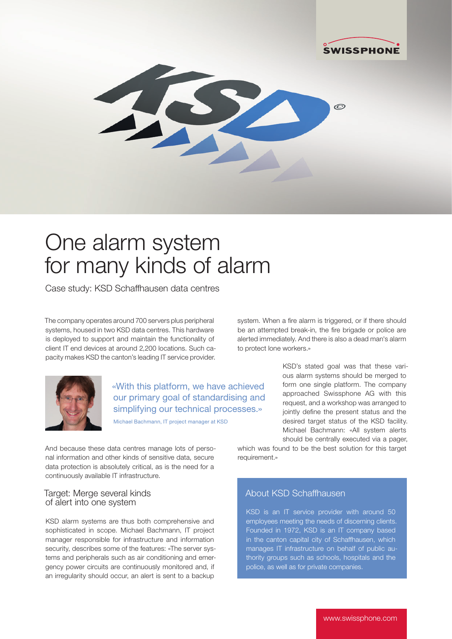

# One alarm system for many kinds of alarm

Case study: KSD Schaffhausen data centres

The company operates around 700 servers plus peripheral systems, housed in two KSD data centres. This hardware is deployed to support and maintain the functionality of client IT end devices at around 2,200 locations. Such capacity makes KSD the canton's leading IT service provider.



«With this platform, we have achieved our primary goal of standardising and simplifying our technical processes.»

Michael Bachmann, IT project manager at KSD

And because these data centres manage lots of personal information and other kinds of sensitive data, secure data protection is absolutely critical, as is the need for a continuously available IT infrastructure.

#### Target: Merge several kinds of alert into one system

KSD alarm systems are thus both comprehensive and sophisticated in scope. Michael Bachmann, IT project manager responsible for infrastructure and information security, describes some of the features: «The server systems and peripherals such as air conditioning and emergency power circuits are continuously monitored and, if an irregularity should occur, an alert is sent to a backup

system. When a fire alarm is triggered, or if there should be an attempted break-in, the fire brigade or police are alerted immediately. And there is also a dead man's alarm to protect lone workers.»

> KSD's stated goal was that these various alarm systems should be merged to form one single platform. The company approached Swissphone AG with this request, and a workshop was arranged to jointly define the present status and the desired target status of the KSD facility. Michael Bachmann: «All system alerts should be centrally executed via a pager,

which was found to be the best solution for this target requirement.»

# About KSD Schaffhausen

KSD is an IT service provider with around 50 employees meeting the needs of discerning clients. Founded in 1972, KSD is an IT company based in the canton capital city of Schaffhausen, which manages IT infrastructure on behalf of public authority groups such as schools, hospitals and the police, as well as for private companies.